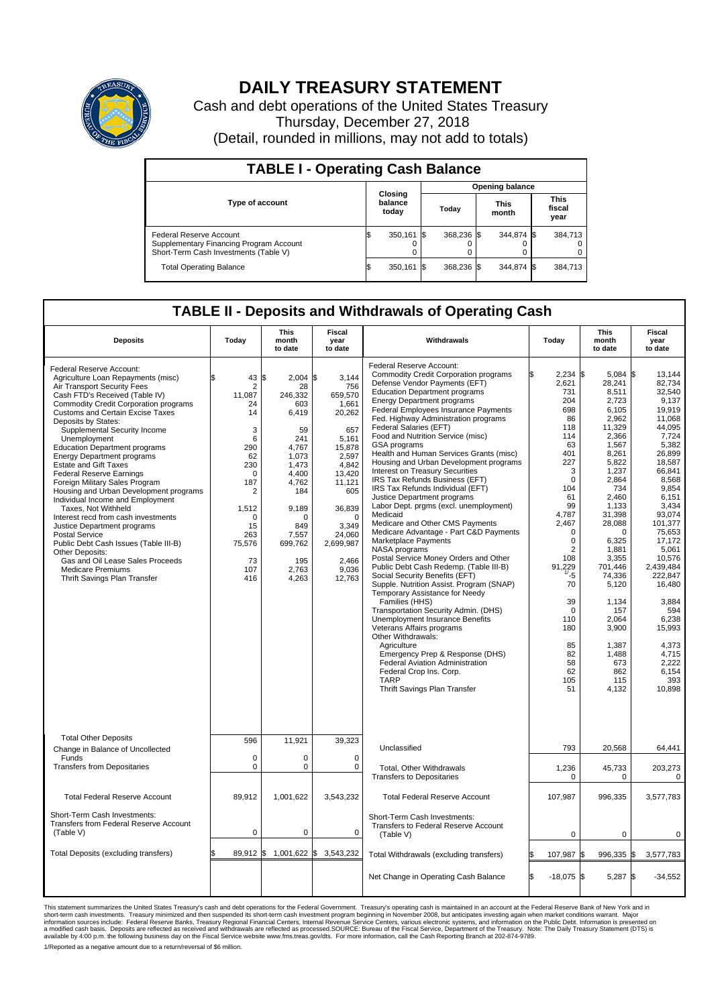

## **DAILY TREASURY STATEMENT**

Cash and debt operations of the United States Treasury Thursday, December 27, 2018 (Detail, rounded in millions, may not add to totals)

| <b>TABLE I - Operating Cash Balance</b>                                                                     |     |                             |     |                        |  |                      |  |                               |  |  |  |  |
|-------------------------------------------------------------------------------------------------------------|-----|-----------------------------|-----|------------------------|--|----------------------|--|-------------------------------|--|--|--|--|
|                                                                                                             |     |                             |     | <b>Opening balance</b> |  |                      |  |                               |  |  |  |  |
| <b>Type of account</b>                                                                                      |     | Closing<br>balance<br>today |     | Today                  |  | <b>This</b><br>month |  | <b>This</b><br>fiscal<br>year |  |  |  |  |
| Federal Reserve Account<br>Supplementary Financing Program Account<br>Short-Term Cash Investments (Table V) |     | 350,161                     | 1\$ | 368.236 \$             |  | 344,874 \$           |  | 384,713                       |  |  |  |  |
| <b>Total Operating Balance</b>                                                                              | I\$ | 350,161                     | I\$ | 368,236 \$             |  | 344,874 \$           |  | 384,713                       |  |  |  |  |

## **TABLE II - Deposits and Withdrawals of Operating Cash**

| <b>Deposits</b>                                                                                                                                                                                                                                                                                                                                                                                                                                                                                                                                                                                                                                                                                                                                                                                                                              | Today                                                                                                                                                                        | <b>This</b><br>month<br>to date                                                                                                                                                              | Fiscal<br>year<br>to date                                                                                                                                                                              | Withdrawals                                                                                                                                                                                                                                                                                                                                                                                                                                                                                                                                                                                                                                                                                                                                                                                                                                                                                                                                                                                                                                                                                                                                                                                                                                                                             | Today                                                                                                                                                                                                                                                                                                            | <b>This</b><br>month<br>to date                                                                                                                                                                                                                                                                                              | <b>Fiscal</b><br>year<br>to date                                                                                                                                                                                                                                                                                                            |
|----------------------------------------------------------------------------------------------------------------------------------------------------------------------------------------------------------------------------------------------------------------------------------------------------------------------------------------------------------------------------------------------------------------------------------------------------------------------------------------------------------------------------------------------------------------------------------------------------------------------------------------------------------------------------------------------------------------------------------------------------------------------------------------------------------------------------------------------|------------------------------------------------------------------------------------------------------------------------------------------------------------------------------|----------------------------------------------------------------------------------------------------------------------------------------------------------------------------------------------|--------------------------------------------------------------------------------------------------------------------------------------------------------------------------------------------------------|-----------------------------------------------------------------------------------------------------------------------------------------------------------------------------------------------------------------------------------------------------------------------------------------------------------------------------------------------------------------------------------------------------------------------------------------------------------------------------------------------------------------------------------------------------------------------------------------------------------------------------------------------------------------------------------------------------------------------------------------------------------------------------------------------------------------------------------------------------------------------------------------------------------------------------------------------------------------------------------------------------------------------------------------------------------------------------------------------------------------------------------------------------------------------------------------------------------------------------------------------------------------------------------------|------------------------------------------------------------------------------------------------------------------------------------------------------------------------------------------------------------------------------------------------------------------------------------------------------------------|------------------------------------------------------------------------------------------------------------------------------------------------------------------------------------------------------------------------------------------------------------------------------------------------------------------------------|---------------------------------------------------------------------------------------------------------------------------------------------------------------------------------------------------------------------------------------------------------------------------------------------------------------------------------------------|
| Federal Reserve Account:<br>Agriculture Loan Repayments (misc)<br>Air Transport Security Fees<br>Cash FTD's Received (Table IV)<br><b>Commodity Credit Corporation programs</b><br>Customs and Certain Excise Taxes<br>Deposits by States:<br>Supplemental Security Income<br>Unemployment<br><b>Education Department programs</b><br><b>Energy Department programs</b><br><b>Estate and Gift Taxes</b><br><b>Federal Reserve Earnings</b><br>Foreign Military Sales Program<br>Housing and Urban Development programs<br>Individual Income and Employment<br>Taxes, Not Withheld<br>Interest recd from cash investments<br>Justice Department programs<br><b>Postal Service</b><br>Public Debt Cash Issues (Table III-B)<br>Other Deposits:<br>Gas and Oil Lease Sales Proceeds<br><b>Medicare Premiums</b><br>Thrift Savings Plan Transfer | 43<br>\$<br>2<br>11,087<br>24<br>14<br>3<br>6<br>290<br>62<br>230<br>$\mathbf 0$<br>187<br>$\overline{2}$<br>1,512<br>$\mathbf 0$<br>15<br>263<br>75,576<br>73<br>107<br>416 | l\$<br>$2,004$ \$<br>28<br>246,332<br>603<br>6,419<br>59<br>241<br>4,767<br>1.073<br>1,473<br>4,400<br>4,762<br>184<br>9,189<br>$\Omega$<br>849<br>7.557<br>699,762<br>195<br>2,763<br>4,263 | 3,144<br>756<br>659,570<br>1,661<br>20,262<br>657<br>5,161<br>15,878<br>2.597<br>4,842<br>13,420<br>11,121<br>605<br>36,839<br>$\mathbf 0$<br>3,349<br>24.060<br>2,699,987<br>2,466<br>9,036<br>12,763 | Federal Reserve Account:<br><b>Commodity Credit Corporation programs</b><br>Defense Vendor Payments (EFT)<br><b>Education Department programs</b><br><b>Energy Department programs</b><br>Federal Employees Insurance Payments<br>Fed. Highway Administration programs<br>Federal Salaries (EFT)<br>Food and Nutrition Service (misc)<br>GSA programs<br>Health and Human Services Grants (misc)<br>Housing and Urban Development programs<br>Interest on Treasury Securities<br>IRS Tax Refunds Business (EFT)<br>IRS Tax Refunds Individual (EFT)<br>Justice Department programs<br>Labor Dept. prgms (excl. unemployment)<br>Medicaid<br>Medicare and Other CMS Payments<br>Medicare Advantage - Part C&D Payments<br>Marketplace Payments<br>NASA programs<br>Postal Service Money Orders and Other<br>Public Debt Cash Redemp. (Table III-B)<br>Social Security Benefits (EFT)<br>Supple. Nutrition Assist. Program (SNAP)<br>Temporary Assistance for Needy<br>Families (HHS)<br>Transportation Security Admin. (DHS)<br>Unemployment Insurance Benefits<br>Veterans Affairs programs<br>Other Withdrawals:<br>Agriculture<br>Emergency Prep & Response (DHS)<br><b>Federal Aviation Administration</b><br>Federal Crop Ins. Corp.<br><b>TARP</b><br>Thrift Savings Plan Transfer | $2,234$ \$<br>2,621<br>731<br>204<br>698<br>86<br>118<br>114<br>63<br>401<br>227<br>3<br>$\mathbf 0$<br>104<br>61<br>99<br>4,787<br>2,467<br>$\mathbf 0$<br>$\mathbf 0$<br>$\overline{2}$<br>108<br>229<br>91<br>$\overline{17}_5$<br>70<br>39<br>$\mathbf 0$<br>110<br>180<br>85<br>82<br>58<br>62<br>105<br>51 | $5,084$ \$<br>28,241<br>8,511<br>2,723<br>6,105<br>2,962<br>11,329<br>2.366<br>1,567<br>8,261<br>5.822<br>1,237<br>2,864<br>734<br>2.460<br>1,133<br>31,398<br>28,088<br>$\Omega$<br>6,325<br>1,881<br>3,355<br>701,446<br>74,336<br>5,120<br>1,134<br>157<br>2.064<br>3,900<br>1,387<br>1,488<br>673<br>862<br>115<br>4,132 | 13,144<br>82,734<br>32.540<br>9,137<br>19,919<br>11.068<br>44.095<br>7,724<br>5,382<br>26,899<br>18.587<br>66,841<br>8,568<br>9,854<br>6.151<br>3,434<br>93,074<br>101,377<br>75,653<br>17.172<br>5,061<br>10,576<br>2,439,484<br>222,847<br>16,480<br>3.884<br>594<br>6.238<br>15,993<br>4,373<br>4,715<br>2,222<br>6,154<br>393<br>10,898 |
| <b>Total Other Deposits</b><br>Change in Balance of Uncollected                                                                                                                                                                                                                                                                                                                                                                                                                                                                                                                                                                                                                                                                                                                                                                              | 596                                                                                                                                                                          | 11,921                                                                                                                                                                                       | 39,323                                                                                                                                                                                                 | Unclassified                                                                                                                                                                                                                                                                                                                                                                                                                                                                                                                                                                                                                                                                                                                                                                                                                                                                                                                                                                                                                                                                                                                                                                                                                                                                            | 793                                                                                                                                                                                                                                                                                                              | 20,568                                                                                                                                                                                                                                                                                                                       | 64,441                                                                                                                                                                                                                                                                                                                                      |
| Funds<br><b>Transfers from Depositaries</b>                                                                                                                                                                                                                                                                                                                                                                                                                                                                                                                                                                                                                                                                                                                                                                                                  | $\mathbf 0$<br>$\mathbf 0$                                                                                                                                                   | 0<br>$\Omega$                                                                                                                                                                                | $\mathbf 0$<br>$\mathbf 0$                                                                                                                                                                             | <b>Total. Other Withdrawals</b><br><b>Transfers to Depositaries</b>                                                                                                                                                                                                                                                                                                                                                                                                                                                                                                                                                                                                                                                                                                                                                                                                                                                                                                                                                                                                                                                                                                                                                                                                                     | 1,236<br>0                                                                                                                                                                                                                                                                                                       | 45,733<br>0                                                                                                                                                                                                                                                                                                                  | 203,273<br>$\mathbf 0$                                                                                                                                                                                                                                                                                                                      |
| <b>Total Federal Reserve Account</b>                                                                                                                                                                                                                                                                                                                                                                                                                                                                                                                                                                                                                                                                                                                                                                                                         | 89,912                                                                                                                                                                       | 1,001,622                                                                                                                                                                                    | 3,543,232                                                                                                                                                                                              | <b>Total Federal Reserve Account</b>                                                                                                                                                                                                                                                                                                                                                                                                                                                                                                                                                                                                                                                                                                                                                                                                                                                                                                                                                                                                                                                                                                                                                                                                                                                    | 107,987                                                                                                                                                                                                                                                                                                          | 996,335                                                                                                                                                                                                                                                                                                                      | 3,577,783                                                                                                                                                                                                                                                                                                                                   |
| Short-Term Cash Investments:<br><b>Transfers from Federal Reserve Account</b><br>(Table V)                                                                                                                                                                                                                                                                                                                                                                                                                                                                                                                                                                                                                                                                                                                                                   | $\mathbf 0$                                                                                                                                                                  | 0                                                                                                                                                                                            | 0                                                                                                                                                                                                      | Short-Term Cash Investments:<br>Transfers to Federal Reserve Account<br>(Table V)                                                                                                                                                                                                                                                                                                                                                                                                                                                                                                                                                                                                                                                                                                                                                                                                                                                                                                                                                                                                                                                                                                                                                                                                       | $\mathbf 0$                                                                                                                                                                                                                                                                                                      | 0                                                                                                                                                                                                                                                                                                                            | 0                                                                                                                                                                                                                                                                                                                                           |
| Total Deposits (excluding transfers)                                                                                                                                                                                                                                                                                                                                                                                                                                                                                                                                                                                                                                                                                                                                                                                                         |                                                                                                                                                                              | 89,912 \$ 1,001,622 \$ 3,543,232                                                                                                                                                             |                                                                                                                                                                                                        | Total Withdrawals (excluding transfers)                                                                                                                                                                                                                                                                                                                                                                                                                                                                                                                                                                                                                                                                                                                                                                                                                                                                                                                                                                                                                                                                                                                                                                                                                                                 | 107,987 \$                                                                                                                                                                                                                                                                                                       | 996,335 \$                                                                                                                                                                                                                                                                                                                   | 3,577,783                                                                                                                                                                                                                                                                                                                                   |
|                                                                                                                                                                                                                                                                                                                                                                                                                                                                                                                                                                                                                                                                                                                                                                                                                                              |                                                                                                                                                                              |                                                                                                                                                                                              |                                                                                                                                                                                                        | Net Change in Operating Cash Balance                                                                                                                                                                                                                                                                                                                                                                                                                                                                                                                                                                                                                                                                                                                                                                                                                                                                                                                                                                                                                                                                                                                                                                                                                                                    | l\$<br>$-18,075$ \$                                                                                                                                                                                                                                                                                              | 5,287 \$                                                                                                                                                                                                                                                                                                                     | $-34,552$                                                                                                                                                                                                                                                                                                                                   |

This statement summarizes the United States Treasury's cash and debt operations for the Federal Government. Treasury operating in November 2008, but anticinates investing again when market conditions warrant. Major York an

1/Reported as a negative amount due to a return/reversal of \$6 million.